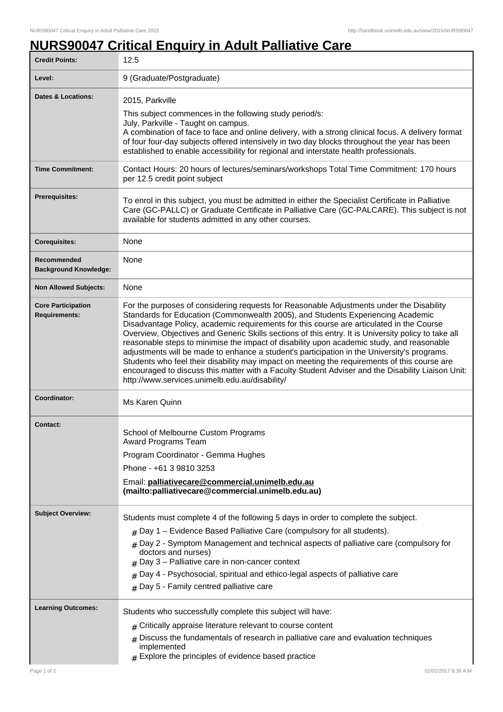## **NURS90047 Critical Enquiry in Adult Palliative Care**

| <b>Credit Points:</b>                             | 12.5                                                                                                                                                                                                                                                                                                                                                                                                                                                                                                                                                                                                                                                                                                                                                                                                                              |
|---------------------------------------------------|-----------------------------------------------------------------------------------------------------------------------------------------------------------------------------------------------------------------------------------------------------------------------------------------------------------------------------------------------------------------------------------------------------------------------------------------------------------------------------------------------------------------------------------------------------------------------------------------------------------------------------------------------------------------------------------------------------------------------------------------------------------------------------------------------------------------------------------|
| Level:                                            | 9 (Graduate/Postgraduate)                                                                                                                                                                                                                                                                                                                                                                                                                                                                                                                                                                                                                                                                                                                                                                                                         |
| <b>Dates &amp; Locations:</b>                     | 2015, Parkville<br>This subject commences in the following study period/s:<br>July, Parkville - Taught on campus.<br>A combination of face to face and online delivery, with a strong clinical focus. A delivery format<br>of four four-day subjects offered intensively in two day blocks throughout the year has been<br>established to enable accessibility for regional and interstate health professionals.                                                                                                                                                                                                                                                                                                                                                                                                                  |
| <b>Time Commitment:</b>                           | Contact Hours: 20 hours of lectures/seminars/workshops Total Time Commitment: 170 hours<br>per 12.5 credit point subject                                                                                                                                                                                                                                                                                                                                                                                                                                                                                                                                                                                                                                                                                                          |
| <b>Prerequisites:</b>                             | To enrol in this subject, you must be admitted in either the Specialist Certificate in Palliative<br>Care (GC-PALLC) or Graduate Certificate in Palliative Care (GC-PALCARE). This subject is not<br>available for students admitted in any other courses.                                                                                                                                                                                                                                                                                                                                                                                                                                                                                                                                                                        |
| <b>Corequisites:</b>                              | None                                                                                                                                                                                                                                                                                                                                                                                                                                                                                                                                                                                                                                                                                                                                                                                                                              |
| Recommended<br><b>Background Knowledge:</b>       | None                                                                                                                                                                                                                                                                                                                                                                                                                                                                                                                                                                                                                                                                                                                                                                                                                              |
| <b>Non Allowed Subjects:</b>                      | None                                                                                                                                                                                                                                                                                                                                                                                                                                                                                                                                                                                                                                                                                                                                                                                                                              |
| <b>Core Participation</b><br><b>Requirements:</b> | For the purposes of considering requests for Reasonable Adjustments under the Disability<br>Standards for Education (Commonwealth 2005), and Students Experiencing Academic<br>Disadvantage Policy, academic requirements for this course are articulated in the Course<br>Overview, Objectives and Generic Skills sections of this entry. It is University policy to take all<br>reasonable steps to minimise the impact of disability upon academic study, and reasonable<br>adjustments will be made to enhance a student's participation in the University's programs.<br>Students who feel their disability may impact on meeting the requirements of this course are<br>encouraged to discuss this matter with a Faculty Student Adviser and the Disability Liaison Unit:<br>http://www.services.unimelb.edu.au/disability/ |
| Coordinator:                                      | Ms Karen Quinn                                                                                                                                                                                                                                                                                                                                                                                                                                                                                                                                                                                                                                                                                                                                                                                                                    |
| <b>Contact:</b>                                   | School of Melbourne Custom Programs<br>Award Programs Team<br>Program Coordinator - Gemma Hughes<br>Phone - +61 3 9810 3253<br>Email: palliativecare@commercial.unimelb.edu.au<br>(mailto:palliativecare@commercial.unimelb.edu.au)                                                                                                                                                                                                                                                                                                                                                                                                                                                                                                                                                                                               |
| <b>Subject Overview:</b>                          | Students must complete 4 of the following 5 days in order to complete the subject.<br>$_{\#}$ Day 1 – Evidence Based Palliative Care (compulsory for all students).<br>$#$ Day 2 - Symptom Management and technical aspects of palliative care (compulsory for<br>doctors and nurses)<br>$#$ Day 3 – Palliative care in non-cancer context<br>$_{\#}$ Day 4 - Psychosocial, spiritual and ethico-legal aspects of palliative care<br>$#$ Day 5 - Family centred palliative care                                                                                                                                                                                                                                                                                                                                                   |
| <b>Learning Outcomes:</b>                         | Students who successfully complete this subject will have:<br>$#$ Critically appraise literature relevant to course content<br>Discuss the fundamentals of research in palliative care and evaluation techniques<br>implemented<br>$#$ Explore the principles of evidence based practice                                                                                                                                                                                                                                                                                                                                                                                                                                                                                                                                          |